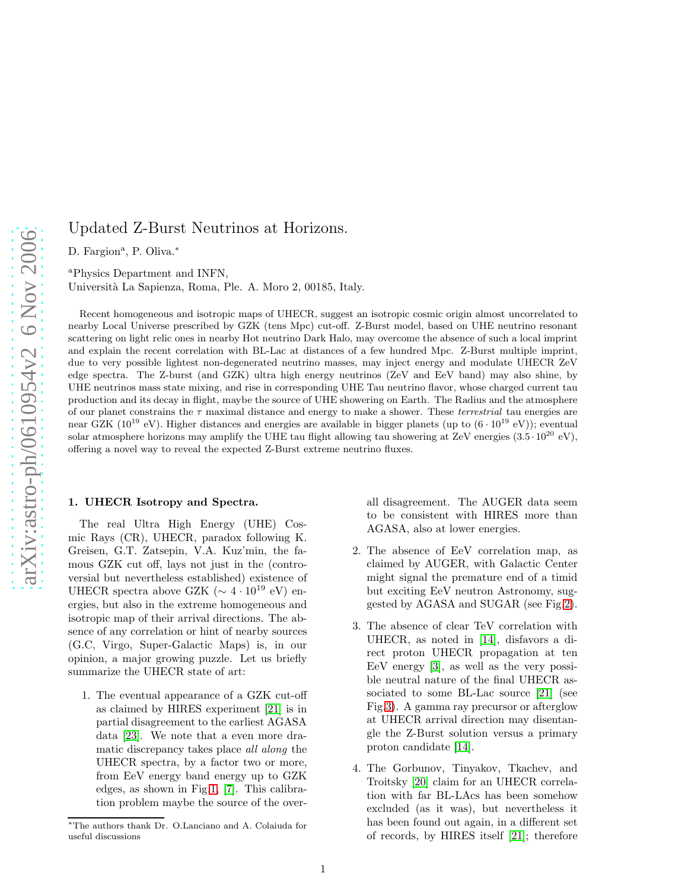# Updated Z-Burst Neutrinos at Horizons.

D. Fargion<sup>a</sup>, P. Oliva.<sup>\*</sup>

<sup>a</sup>Physics Department and INFN,

Universit`a La Sapienza, Roma, Ple. A. Moro 2, 00185, Italy.

Recent homogeneous and isotropic maps of UHECR, suggest an isotropic cosmic origin almost uncorrelated to nearby Local Universe prescribed by GZK (tens Mpc) cut-off. Z-Burst model, based on UHE neutrino resonant scattering on light relic ones in nearby Hot neutrino Dark Halo, may overcome the absence of such a local imprint and explain the recent correlation with BL-Lac at distances of a few hundred Mpc. Z-Burst multiple imprint, due to very possible lightest non-degenerated neutrino masses, may inject energy and modulate UHECR ZeV edge spectra. The Z-burst (and GZK) ultra high energy neutrinos (ZeV and EeV band) may also shine, by UHE neutrinos mass state mixing, and rise in corresponding UHE Tau neutrino flavor, whose charged current tau production and its decay in flight, maybe the source of UHE showering on Earth. The Radius and the atmosphere of our planet constrains the  $\tau$  maximal distance and energy to make a shower. These *terrestrial* tau energies are near GZK (10<sup>19</sup> eV). Higher distances and energies are available in bigger planets (up to  $(6 \cdot 10^{19} \text{ eV})$ ); eventual solar atmosphere horizons may amplify the UHE tau flight allowing tau showering at ZeV energies  $(3.5 \cdot 10^{20} \text{ eV})$ , offering a novel way to reveal the expected Z-Burst extreme neutrino fluxes.

### 1. UHECR Isotropy and Spectra.

The real Ultra High Energy (UHE) Cosmic Rays (CR), UHECR, paradox following K. Greisen, G.T. Zatsepin, V.A. Kuz'min, the famous GZK cut off, lays not just in the (controversial but nevertheless established) existence of UHECR spectra above GZK ( $\sim 4 \cdot 10^{19}$  eV) energies, but also in the extreme homogeneous and isotropic map of their arrival directions. The absence of any correlation or hint of nearby sources (G.C, Virgo, Super-Galactic Maps) is, in our opinion, a major growing puzzle. Let us briefly summarize the UHECR state of art:

1. The eventual appearance of a GZK cut-off as claimed by HIRES experiment [\[21\]](#page-5-0) is in partial disagreement to the earliest AGASA data [\[23\]](#page-5-1). We note that a even more dramatic discrepancy takes place all along the UHECR spectra, by a factor two or more, from EeV energy band energy up to GZK edges, as shown in Fig[.1,](#page-1-0) [\[7\]](#page-5-2). This calibration problem maybe the source of the overall disagreement. The AUGER data seem to be consistent with HIRES more than AGASA, also at lower energies.

- 2. The absence of EeV correlation map, as claimed by AUGER, with Galactic Center might signal the premature end of a timid but exciting EeV neutron Astronomy, suggested by AGASA and SUGAR (see Fig[.2\)](#page-1-1).
- 3. The absence of clear TeV correlation with UHECR, as noted in [\[14\]](#page-5-3), disfavors a direct proton UHECR propagation at ten EeV energy [3], as well as the very possible neutral nature of the final UHECR associated to some BL-Lac source [\[21\]](#page-5-0) (see Fig[.3\)](#page-2-0). A gamma ray precursor or afterglow at UHECR arrival direction may disentangle the Z-Burst solution versus a primary proton candidate [\[14\]](#page-5-3).
- 4. The Gorbunov, Tinyakov, Tkachev, and Troitsky [\[20\]](#page-5-4) claim for an UHECR correlation with far BL-LAcs has been somehow excluded (as it was), but nevertheless it has been found out again, in a different set of records, by HIRES itself [\[21\]](#page-5-0); therefore

<sup>∗</sup>The authors thank Dr. O.Lanciano and A. Colaiuda for useful discussions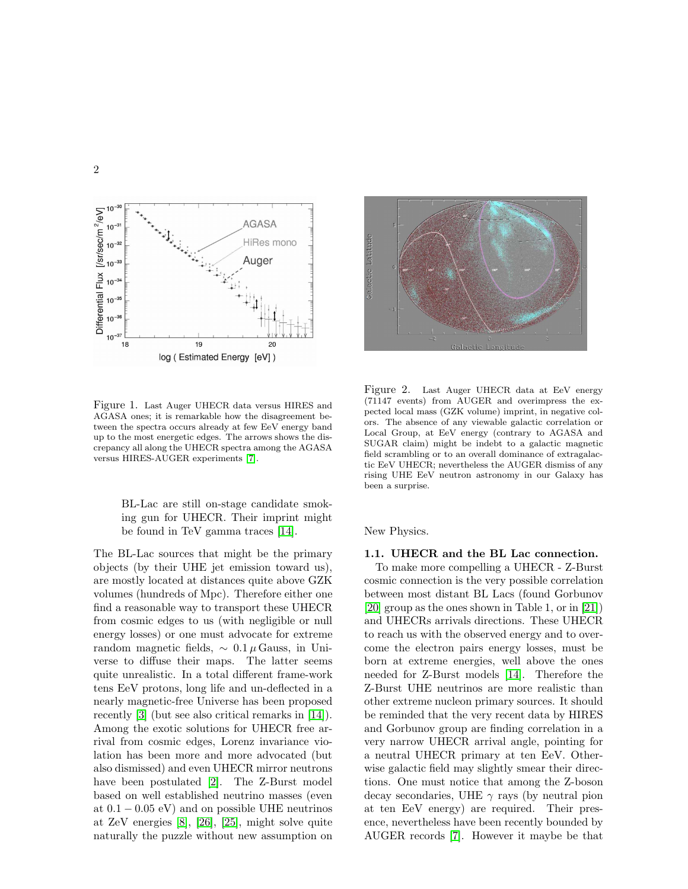

<span id="page-1-0"></span>Figure 1. Last Auger UHECR data versus HIRES and AGASA ones; it is remarkable how the disagreement between the spectra occurs already at few EeV energy band up to the most energetic edges. The arrows shows the discrepancy all along the UHECR spectra among the AGASA versus HIRES-AUGER experiments [\[7\]](#page-5-2).

BL-Lac are still on-stage candidate smoking gun for UHECR. Their imprint might be found in TeV gamma traces [\[14\]](#page-5-3).

The BL-Lac sources that might be the primary objects (by their UHE jet emission toward us), are mostly located at distances quite above GZK volumes (hundreds of Mpc). Therefore either one find a reasonable way to transport these UHECR from cosmic edges to us (with negligible or null energy losses) or one must advocate for extreme random magnetic fields,  $\sim 0.1 \mu$  Gauss, in Universe to diffuse their maps. The latter seems quite unrealistic. In a total different frame-work tens EeV protons, long life and un-deflected in a nearly magnetic-free Universe has been proposed recently [3] (but see also critical remarks in [\[14\]](#page-5-3)). Among the exotic solutions for UHECR free arrival from cosmic edges, Lorenz invariance violation has been more and more advocated (but also dismissed) and even UHECR mirror neutrons have been postulated [\[2\]](#page-5-5). The Z-Burst model based on well established neutrino masses (even at  $0.1 - 0.05$  eV) and on possible UHE neutrinos at ZeV energies [\[8\]](#page-5-6), [\[26\]](#page-5-7), [\[25\]](#page-5-8), might solve quite naturally the puzzle without new assumption on



<span id="page-1-1"></span>Figure 2. Last Auger UHECR data at EeV energy (71147 events) from AUGER and overimpress the expected local mass (GZK volume) imprint, in negative colors. The absence of any viewable galactic correlation or Local Group, at EeV energy (contrary to AGASA and SUGAR claim) might be indebt to a galactic magnetic field scrambling or to an overall dominance of extragalactic EeV UHECR; nevertheless the AUGER dismiss of any rising UHE EeV neutron astronomy in our Galaxy has been a surprise.

### New Physics.

### 1.1. UHECR and the BL Lac connection.

To make more compelling a UHECR - Z-Burst cosmic connection is the very possible correlation between most distant BL Lacs (found Gorbunov [\[20\]](#page-5-4) group as the ones shown in Table 1, or in [\[21\]](#page-5-0)) and UHECRs arrivals directions. These UHECR to reach us with the observed energy and to overcome the electron pairs energy losses, must be born at extreme energies, well above the ones needed for Z-Burst models [\[14\]](#page-5-3). Therefore the Z-Burst UHE neutrinos are more realistic than other extreme nucleon primary sources. It should be reminded that the very recent data by HIRES and Gorbunov group are finding correlation in a very narrow UHECR arrival angle, pointing for a neutral UHECR primary at ten EeV. Otherwise galactic field may slightly smear their directions. One must notice that among the Z-boson decay secondaries, UHE  $\gamma$  rays (by neutral pion at ten EeV energy) are required. Their presence, nevertheless have been recently bounded by AUGER records [\[7\]](#page-5-2). However it maybe be that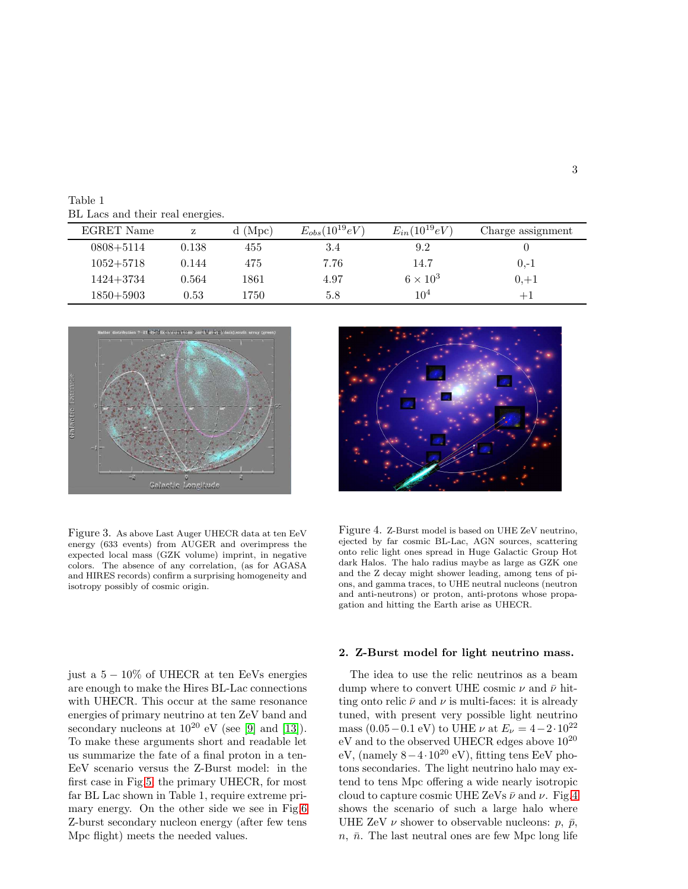Table 1 BL Lacs and their real energies.

| EGRET Name    | z     | $d$ (Mpc) | $E_{obs}(10^{19}eV)$ | $E_{in}(10^{19}eV)$ | Charge assignment |
|---------------|-------|-----------|----------------------|---------------------|-------------------|
| $0808 + 5114$ | 0.138 | 455       | 3.4                  | 9.2                 |                   |
| $1052 + 5718$ | 0.144 | 475       | 7.76                 | 14.7                | $0,-1$            |
| $1424 + 3734$ | 0.564 | 1861      | 4.97                 | $6 \times 10^3$     | $0, +1$           |
| $1850 + 5903$ | 0.53  | 1750      | 5.8                  | $10^{4}$            | $+1$              |



<span id="page-2-0"></span>Figure 3. As above Last Auger UHECR data at ten EeV energy (633 events) from AUGER and overimpress the expected local mass (GZK volume) imprint, in negative colors. The absence of any correlation, (as for AGASA and HIRES records) confirm a surprising homogeneity and isotropy possibly of cosmic origin.

just a  $5 - 10\%$  of UHECR at ten EeVs energies are enough to make the Hires BL-Lac connections with UHECR. This occur at the same resonance energies of primary neutrino at ten ZeV band and secondary nucleons at  $10^{20}$  eV (see [\[9\]](#page-5-9) and [\[13\]](#page-5-10)). To make these arguments short and readable let us summarize the fate of a final proton in a ten-EeV scenario versus the Z-Burst model: in the first case in Fig[.5,](#page-3-0) the primary UHECR, for most far BL Lac shown in Table 1, require extreme primary energy. On the other side we see in Fig[.6](#page-3-1) Z-burst secondary nucleon energy (after few tens Mpc flight) meets the needed values.



<span id="page-2-1"></span>Figure 4. Z-Burst model is based on UHE ZeV neutrino, ejected by far cosmic BL-Lac, AGN sources, scattering onto relic light ones spread in Huge Galactic Group Hot dark Halos. The halo radius maybe as large as GZK one and the Z decay might shower leading, among tens of pions, and gamma traces, to UHE neutral nucleons (neutron and anti-neutrons) or proton, anti-protons whose propagation and hitting the Earth arise as UHECR.

### 2. Z-Burst model for light neutrino mass.

The idea to use the relic neutrinos as a beam dump where to convert UHE cosmic  $\nu$  and  $\bar{\nu}$  hitting onto relic  $\bar{\nu}$  and  $\nu$  is multi-faces: it is already tuned, with present very possible light neutrino mass (0.05 – 0.1 eV) to UHE  $\nu$  at  $E_{\nu} = 4 - 2 \cdot 10^{22}$  $eV$  and to the observed UHECR edges above  $10^{20}$ eV, (namely  $8-4.10^{20}$  eV), fitting tens EeV photons secondaries. The light neutrino halo may extend to tens Mpc offering a wide nearly isotropic cloud to capture cosmic UHE ZeVs  $\bar{\nu}$  and  $\nu$ . Fig[.4](#page-2-1) shows the scenario of such a large halo where UHE ZeV  $\nu$  shower to observable nucleons:  $p, \bar{p},$  $n, \bar{n}$ . The last neutral ones are few Mpc long life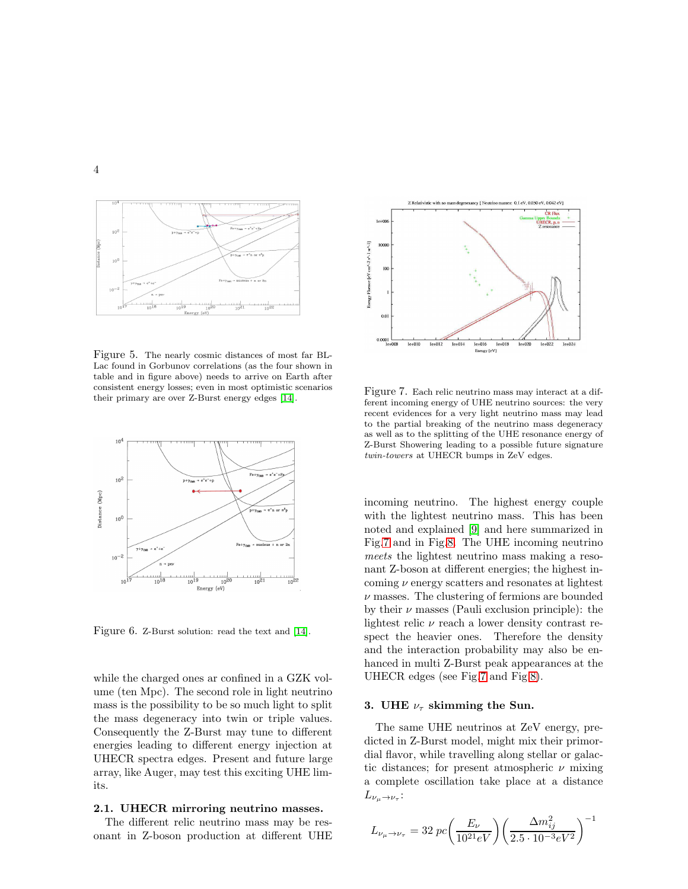

<span id="page-3-0"></span>Figure 5. The nearly cosmic distances of most far BL-Lac found in Gorbunov correlations (as the four shown in table and in figure above) needs to arrive on Earth after consistent energy losses; even in most optimistic scenarios their primary are over Z-Burst energy edges [\[14\]](#page-5-3).



<span id="page-3-1"></span>Figure 6. Z-Burst solution: read the text and [\[14\]](#page-5-3).

while the charged ones ar confined in a GZK volume (ten Mpc). The second role in light neutrino mass is the possibility to be so much light to split the mass degeneracy into twin or triple values. Consequently the Z-Burst may tune to different energies leading to different energy injection at UHECR spectra edges. Present and future large array, like Auger, may test this exciting UHE limits.

## 2.1. UHECR mirroring neutrino masses.

The different relic neutrino mass may be resonant in Z-boson production at different UHE



<span id="page-3-2"></span>Figure 7. Each relic neutrino mass may interact at a different incoming energy of UHE neutrino sources: the very recent evidences for a very light neutrino mass may lead to the partial breaking of the neutrino mass degeneracy as well as to the splitting of the UHE resonance energy of Z-Burst Showering leading to a possible future signature twin-towers at UHECR bumps in ZeV edges.

incoming neutrino. The highest energy couple with the lightest neutrino mass. This has been noted and explained [\[9\]](#page-5-9) and here summarized in Fig[.7](#page-3-2) and in Fig[.8.](#page-4-0) The UHE incoming neutrino meets the lightest neutrino mass making a resonant Z-boson at different energies; the highest incoming  $\nu$  energy scatters and resonates at lightest  $\nu$  masses. The clustering of fermions are bounded by their  $\nu$  masses (Pauli exclusion principle): the lightest relic  $\nu$  reach a lower density contrast respect the heavier ones. Therefore the density and the interaction probability may also be enhanced in multi Z-Burst peak appearances at the UHECR edges (see Fig[.7](#page-3-2) and Fig[.8\)](#page-4-0).

### 3. UHE  $\nu_{\tau}$  skimming the Sun.

The same UHE neutrinos at ZeV energy, predicted in Z-Burst model, might mix their primordial flavor, while travelling along stellar or galactic distances; for present atmospheric  $\nu$  mixing a complete oscillation take place at a distance  $L_{\nu_\mu \rightarrow \nu_\tau}$ :

$$
L_{\nu_{\mu} \rightarrow \nu_{\tau}} = 32 \ pc \bigg(\frac{E_{\nu}}{10^{21} eV}\bigg) \bigg(\frac{\Delta m_{ij}^2}{2.5 \cdot 10^{-3} eV^2}\bigg)^{-1}
$$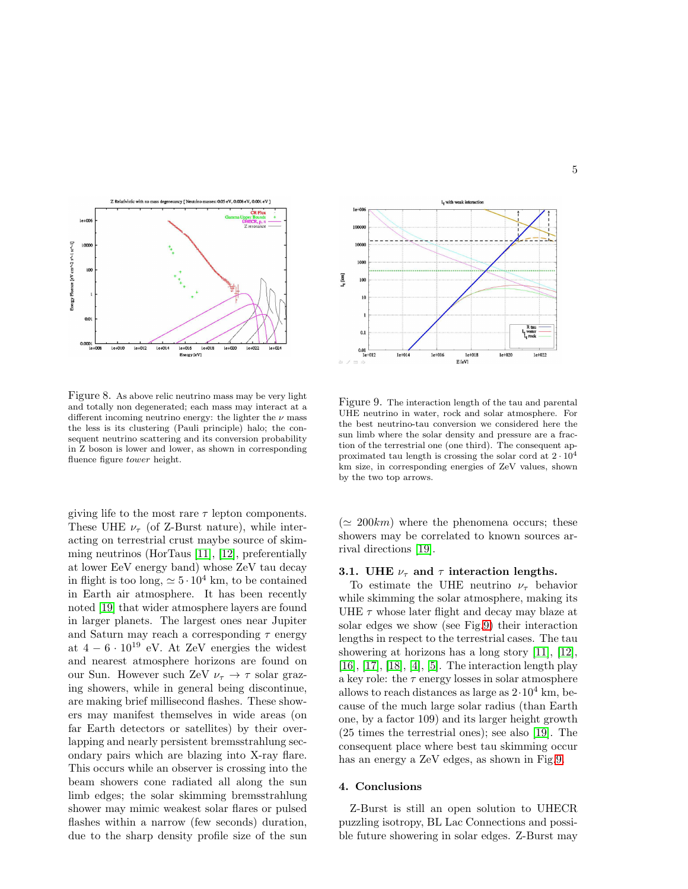

<span id="page-4-0"></span>Figure 8. As above relic neutrino mass may be very light and totally non degenerated; each mass may interact at a different incoming neutrino energy: the lighter the  $\nu$  mass the less is its clustering (Pauli principle) halo; the consequent neutrino scattering and its conversion probability in Z boson is lower and lower, as shown in corresponding fluence figure tower height.

giving life to the most rare  $\tau$  lepton components. These UHE  $\nu_{\tau}$  (of Z-Burst nature), while interacting on terrestrial crust maybe source of skimming neutrinos (HorTaus [\[11\]](#page-5-11), [12], preferentially at lower EeV energy band) whose ZeV tau decay in flight is too long,  $\simeq 5 \cdot 10^4$  km, to be contained in Earth air atmosphere. It has been recently noted [\[19\]](#page-5-12) that wider atmosphere layers are found in larger planets. The largest ones near Jupiter and Saturn may reach a corresponding  $\tau$  energy at  $4-6 \cdot 10^{19}$  eV. At ZeV energies the widest and nearest atmosphere horizons are found on our Sun. However such ZeV  $\nu_{\tau} \rightarrow \tau$  solar grazing showers, while in general being discontinue, are making brief millisecond flashes. These showers may manifest themselves in wide areas (on far Earth detectors or satellites) by their overlapping and nearly persistent bremsstrahlung secondary pairs which are blazing into X-ray flare. This occurs while an observer is crossing into the beam showers cone radiated all along the sun limb edges; the solar skimming bremsstrahlung shower may mimic weakest solar flares or pulsed flashes within a narrow (few seconds) duration, due to the sharp density profile size of the sun



<span id="page-4-1"></span>Figure 9. The interaction length of the tau and parental UHE neutrino in water, rock and solar atmosphere. For the best neutrino-tau conversion we considered here the sun limb where the solar density and pressure are a fraction of the terrestrial one (one third). The consequent approximated tau length is crossing the solar cord at  $2 \cdot 10^4$ km size, in corresponding energies of ZeV values, shown by the two top arrows.

 $(\simeq 200km)$  where the phenomena occurs; these showers may be correlated to known sources arrival directions [\[19\]](#page-5-12).

#### 3.1. UHE  $\nu_{\tau}$  and  $\tau$  interaction lengths.

To estimate the UHE neutrino  $\nu_{\tau}$  behavior while skimming the solar atmosphere, making its UHE  $\tau$  whose later flight and decay may blaze at solar edges we show (see Fig[.9\)](#page-4-1) their interaction lengths in respect to the terrestrial cases. The tau showering at horizons has a long story [\[11\]](#page-5-11), [12], [\[16\]](#page-5-13), [\[17\]](#page-5-14), [\[18\]](#page-5-15), [\[4\]](#page-5-16), [\[5\]](#page-5-17). The interaction length play a key role: the  $\tau$  energy losses in solar atmosphere allows to reach distances as large as  $2.10^4$  km, because of the much large solar radius (than Earth one, by a factor 109) and its larger height growth (25 times the terrestrial ones); see also [\[19\]](#page-5-12). The consequent place where best tau skimming occur has an energy a ZeV edges, as shown in Fig[.9.](#page-4-1)

### 4. Conclusions

Z-Burst is still an open solution to UHECR puzzling isotropy, BL Lac Connections and possible future showering in solar edges. Z-Burst may